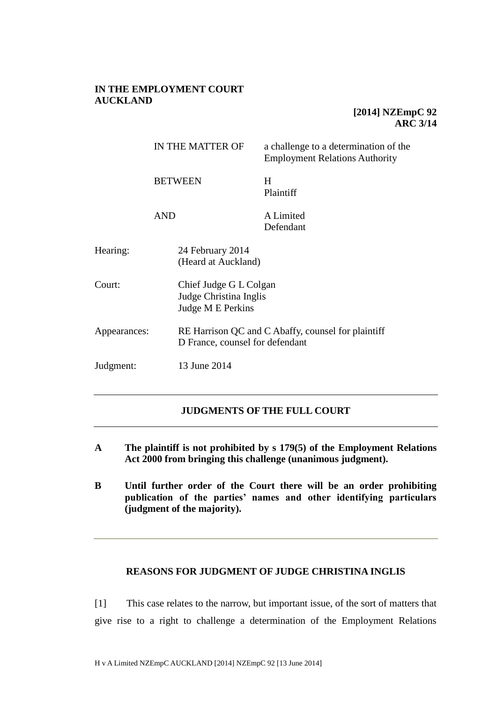## **IN THE EMPLOYMENT COURT AUCKLAND**

# **[2014] NZEmpC 92 ARC 3/14**

|              |                              | IN THE MATTER OF                                                      | a challenge to a determination of the<br><b>Employment Relations Authority</b> |
|--------------|------------------------------|-----------------------------------------------------------------------|--------------------------------------------------------------------------------|
|              | <b>BETWEEN</b><br><b>AND</b> |                                                                       | H<br>Plaintiff                                                                 |
|              |                              |                                                                       | A Limited<br>Defendant                                                         |
| Hearing:     |                              | 24 February 2014<br>(Heard at Auckland)                               |                                                                                |
| Court:       |                              | Chief Judge G L Colgan<br>Judge Christina Inglis<br>Judge M E Perkins |                                                                                |
| Appearances: |                              | D France, counsel for defendant                                       | RE Harrison QC and C Abaffy, counsel for plaintiff                             |
| Judgment:    |                              | 13 June 2014                                                          |                                                                                |

# **JUDGMENTS OF THE FULL COURT**

- **A The plaintiff is not prohibited by s 179(5) of the Employment Relations Act 2000 from bringing this challenge (unanimous judgment).**
- **B Until further order of the Court there will be an order prohibiting publication of the parties' names and other identifying particulars (judgment of the majority).**

## **REASONS FOR JUDGMENT OF JUDGE CHRISTINA INGLIS**

[1] This case relates to the narrow, but important issue, of the sort of matters that give rise to a right to challenge a determination of the Employment Relations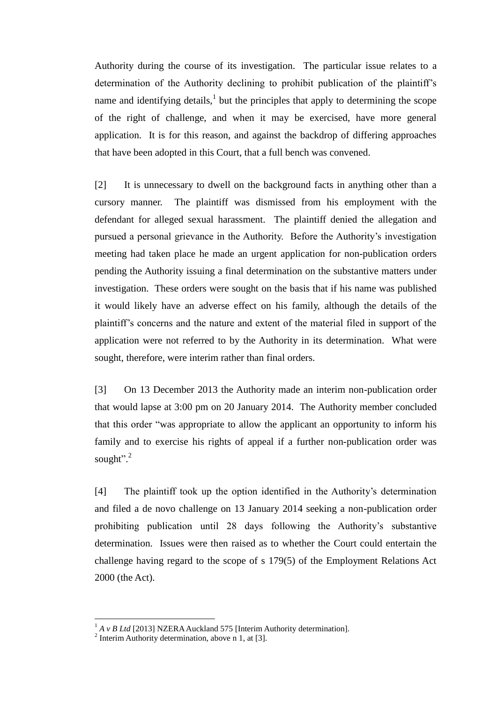Authority during the course of its investigation. The particular issue relates to a determination of the Authority declining to prohibit publication of the plaintiff's name and identifying details, $<sup>1</sup>$  but the principles that apply to determining the scope</sup> of the right of challenge, and when it may be exercised, have more general application. It is for this reason, and against the backdrop of differing approaches that have been adopted in this Court, that a full bench was convened.

[2] It is unnecessary to dwell on the background facts in anything other than a cursory manner. The plaintiff was dismissed from his employment with the defendant for alleged sexual harassment. The plaintiff denied the allegation and pursued a personal grievance in the Authority. Before the Authority's investigation meeting had taken place he made an urgent application for non-publication orders pending the Authority issuing a final determination on the substantive matters under investigation. These orders were sought on the basis that if his name was published it would likely have an adverse effect on his family, although the details of the plaintiff's concerns and the nature and extent of the material filed in support of the application were not referred to by the Authority in its determination. What were sought, therefore, were interim rather than final orders.

[3] On 13 December 2013 the Authority made an interim non-publication order that would lapse at 3:00 pm on 20 January 2014. The Authority member concluded that this order "was appropriate to allow the applicant an opportunity to inform his family and to exercise his rights of appeal if a further non-publication order was sought".<sup>2</sup>

[4] The plaintiff took up the option identified in the Authority's determination and filed a de novo challenge on 13 January 2014 seeking a non-publication order prohibiting publication until 28 days following the Authority's substantive determination. Issues were then raised as to whether the Court could entertain the challenge having regard to the scope of s 179(5) of the Employment Relations Act 2000 (the Act).

 $1 A v B Ltd$  [2013] NZERA Auckland 575 [Interim Authority determination].<br>
<sup>2</sup> Interim Authority determination, above n 1, at [3].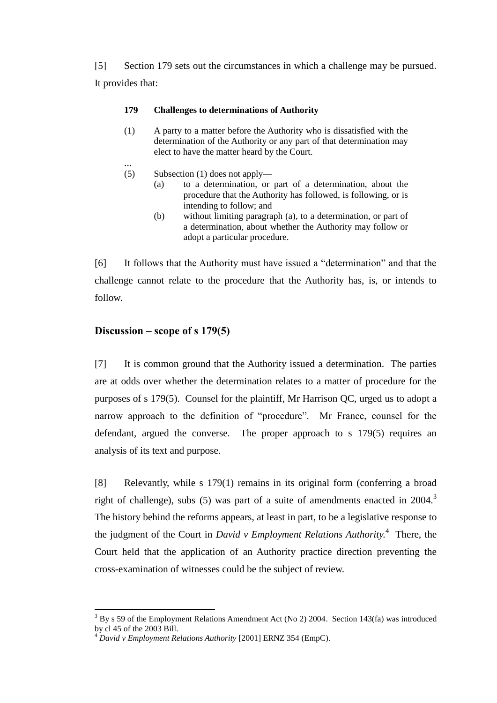[5] Section 179 sets out the circumstances in which a challenge may be pursued. It provides that:

### **179 Challenges to determinations of Authority**

- (1) A party to a matter before the Authority who is dissatisfied with the determination of the Authority or any part of that determination may elect to have the matter heard by the Court.
- ... (5) Subsection (1) does not apply—
	- (a) to a determination, or part of a determination, about the procedure that the Authority has followed, is following, or is intending to follow; and
	- (b) without limiting paragraph (a), to a determination, or part of a determination, about whether the Authority may follow or adopt a particular procedure.

[6] It follows that the Authority must have issued a "determination" and that the challenge cannot relate to the procedure that the Authority has, is, or intends to follow.

# **Discussion – scope of s 179(5)**

 $\overline{a}$ 

[7] It is common ground that the Authority issued a determination. The parties are at odds over whether the determination relates to a matter of procedure for the purposes of s 179(5). Counsel for the plaintiff, Mr Harrison QC, urged us to adopt a narrow approach to the definition of "procedure". Mr France, counsel for the defendant, argued the converse. The proper approach to s 179(5) requires an analysis of its text and purpose.

[8] Relevantly, while s 179(1) remains in its original form (conferring a broad right of challenge), subs (5) was part of a suite of amendments enacted in  $2004$ .<sup>3</sup> The history behind the reforms appears, at least in part, to be a legislative response to the judgment of the Court in *David v Employment Relations Authority.* 4 There, the Court held that the application of an Authority practice direction preventing the cross-examination of witnesses could be the subject of review.

 $3$  By s 59 of the Employment Relations Amendment Act (No 2) 2004. Section 143(fa) was introduced by cl 45 of the 2003 Bill.

<sup>4</sup> *David v Employment Relations Authority* [2001] ERNZ 354 (EmpC).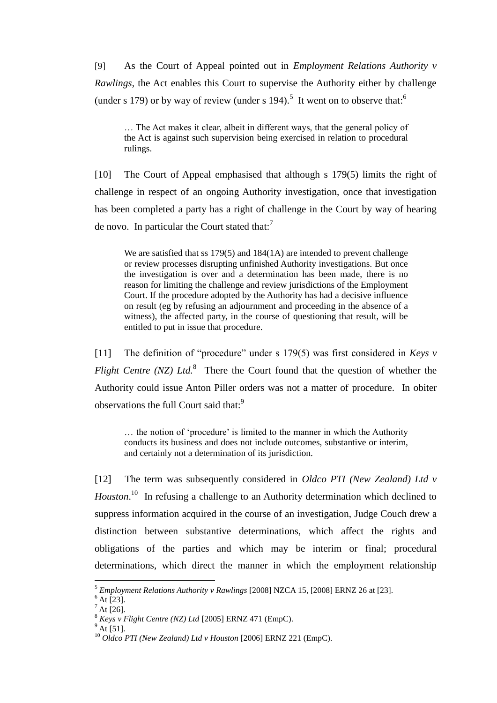[9] As the Court of Appeal pointed out in *Employment Relations Authority v Rawlings*, the Act enables this Court to supervise the Authority either by challenge (under s 179) or by way of review (under s 194).<sup>5</sup> It went on to observe that:

… The Act makes it clear, albeit in different ways, that the general policy of the Act is against such supervision being exercised in relation to procedural rulings.

[10] The Court of Appeal emphasised that although s 179(5) limits the right of challenge in respect of an ongoing Authority investigation, once that investigation has been completed a party has a right of challenge in the Court by way of hearing de novo. In particular the Court stated that: $^7$ 

We are satisfied that ss 179(5) and 184(1A) are intended to prevent challenge or review processes disrupting unfinished Authority investigations. But once the investigation is over and a determination has been made, there is no reason for limiting the challenge and review jurisdictions of the Employment Court. If the procedure adopted by the Authority has had a decisive influence on result (eg by refusing an adjournment and proceeding in the absence of a witness), the affected party, in the course of questioning that result, will be entitled to put in issue that procedure.

[11] The definition of "procedure" under s 179(5) was first considered in *Keys v Flight Centre (NZ) Ltd.*<sup>8</sup> There the Court found that the question of whether the Authority could issue Anton Piller orders was not a matter of procedure. In obiter observations the full Court said that:<sup>9</sup>

… the notion of 'procedure' is limited to the manner in which the Authority conducts its business and does not include outcomes, substantive or interim, and certainly not a determination of its jurisdiction.

[12] The term was subsequently considered in *Oldco PTI (New Zealand) Ltd v*  Houston.<sup>10</sup> In refusing a challenge to an Authority determination which declined to suppress information acquired in the course of an investigation, Judge Couch drew a distinction between substantive determinations, which affect the rights and obligations of the parties and which may be interim or final; procedural determinations, which direct the manner in which the employment relationship

<sup>5</sup> *Employment Relations Authority v Rawlings* [2008] NZCA 15, [2008] ERNZ 26 at [23].

 $6$  At [23].

 $^7$  At [26].

<sup>8</sup> *Keys v Flight Centre (NZ) Ltd* [2005] ERNZ 471 (EmpC).

 $^{9}$  At [51].

<sup>&</sup>lt;sup>10</sup> Oldco PTI (New Zealand) Ltd v Houston [2006] ERNZ 221 (EmpC).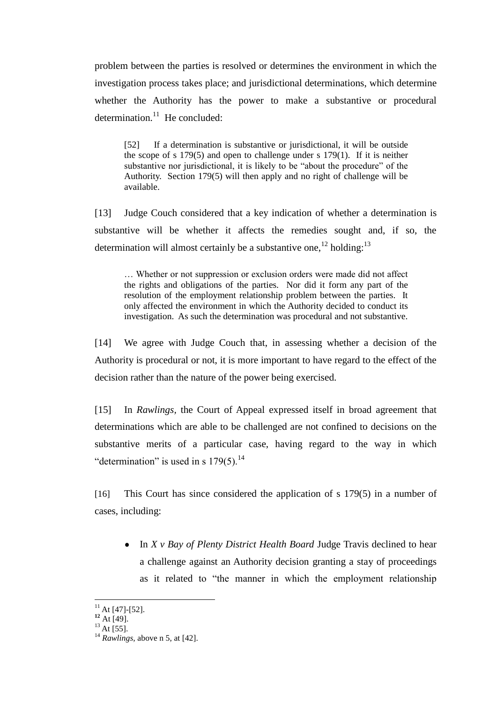problem between the parties is resolved or determines the environment in which the investigation process takes place; and jurisdictional determinations, which determine whether the Authority has the power to make a substantive or procedural determination.<sup>11</sup> He concluded:

[52] If a determination is substantive or jurisdictional, it will be outside the scope of s 179(5) and open to challenge under s 179(1). If it is neither substantive nor jurisdictional, it is likely to be "about the procedure" of the Authority. Section 179(5) will then apply and no right of challenge will be available.

[13] Judge Couch considered that a key indication of whether a determination is substantive will be whether it affects the remedies sought and, if so, the determination will almost certainly be a substantive one,<sup>12</sup> holding:<sup>13</sup>

… Whether or not suppression or exclusion orders were made did not affect the rights and obligations of the parties. Nor did it form any part of the resolution of the employment relationship problem between the parties. It only affected the environment in which the Authority decided to conduct its investigation. As such the determination was procedural and not substantive.

[14] We agree with Judge Couch that, in assessing whether a decision of the Authority is procedural or not, it is more important to have regard to the effect of the decision rather than the nature of the power being exercised.

[15] In *Rawlings,* the Court of Appeal expressed itself in broad agreement that determinations which are able to be challenged are not confined to decisions on the substantive merits of a particular case, having regard to the way in which "determination" is used in s  $179(5)$ .<sup>14</sup>

[16] This Court has since considered the application of s 179(5) in a number of cases, including:

• In *X v Bay of Plenty District Health Board* Judge Travis declined to hear a challenge against an Authority decision granting a stay of proceedings as it related to "the manner in which the employment relationship

 $11$  At [47]-[52].

**<sup>12</sup>** At [49].

 $^{13}$  At [55].

<sup>14</sup> *Rawlings,* above n 5, at [42].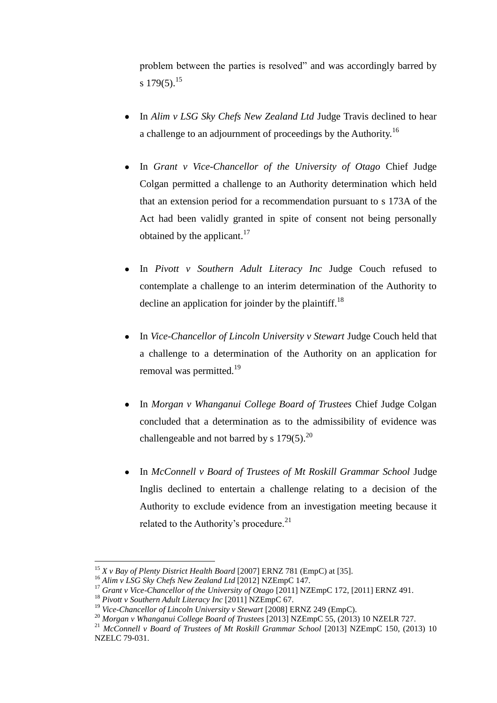problem between the parties is resolved" and was accordingly barred by s  $179(5)$ <sup>15</sup>

- In *Alim v LSG Sky Chefs New Zealand Ltd* Judge Travis declined to hear a challenge to an adjournment of proceedings by the Authority.<sup>16</sup>
- In *Grant v Vice-Chancellor of the University of Otago* Chief Judge Colgan permitted a challenge to an Authority determination which held that an extension period for a recommendation pursuant to s 173A of the Act had been validly granted in spite of consent not being personally obtained by the applicant. $17$
- In *Pivott v Southern Adult Literacy Inc* Judge Couch refused to contemplate a challenge to an interim determination of the Authority to decline an application for joinder by the plaintiff.<sup>18</sup>
- In *Vice-Chancellor of Lincoln University v Stewart* Judge Couch held that a challenge to a determination of the Authority on an application for removal was permitted.<sup>19</sup>
- In *Morgan v Whanganui College Board of Trustees* Chief Judge Colgan concluded that a determination as to the admissibility of evidence was challengeable and not barred by s  $179(5)$ .<sup>20</sup>
- In *McConnell v Board of Trustees of Mt Roskill Grammar School* Judge Inglis declined to entertain a challenge relating to a decision of the Authority to exclude evidence from an investigation meeting because it related to the Authority's procedure.<sup>21</sup>

<sup>&</sup>lt;sup>15</sup> *X v Bay of Plenty District Health Board* [2007] ERNZ 781 (EmpC) at [35].

<sup>16</sup> *Alim v LSG Sky Chefs New Zealand Ltd* [2012] NZEmpC 147.

<sup>17</sup> *Grant v Vice-Chancellor of the University of Otago* [2011] NZEmpC 172, [2011] ERNZ 491.

<sup>18</sup> *Pivott v Southern Adult Literacy Inc* [2011] NZEmpC 67.

<sup>&</sup>lt;sup>19</sup> *Vice-Chancellor of Lincoln University v Stewart* [2008] ERNZ 249 (EmpC).

<sup>20</sup> *Morgan v Whanganui College Board of Trustees* [2013] NZEmpC 55, (2013) 10 NZELR 727.

<sup>&</sup>lt;sup>21</sup> McConnell v Board of Trustees of Mt Roskill Grammar School [2013] NZEmpC 150, (2013) 10 NZELC 79-031.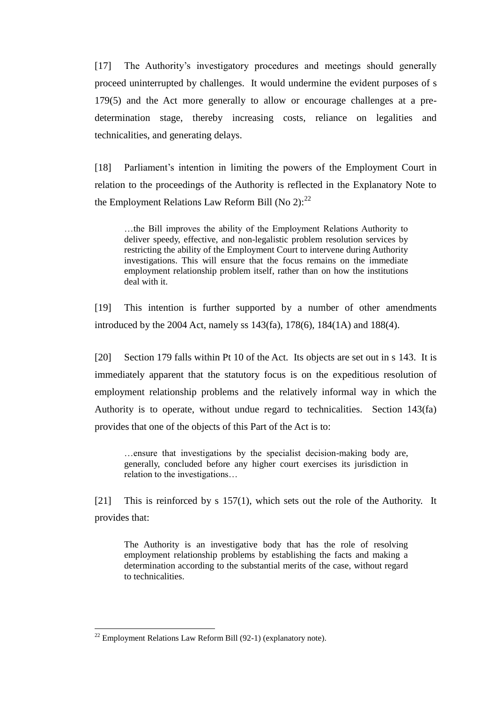[17] The Authority's investigatory procedures and meetings should generally proceed uninterrupted by challenges. It would undermine the evident purposes of s 179(5) and the Act more generally to allow or encourage challenges at a predetermination stage, thereby increasing costs, reliance on legalities and technicalities, and generating delays.

[18] Parliament's intention in limiting the powers of the Employment Court in relation to the proceedings of the Authority is reflected in the Explanatory Note to the Employment Relations Law Reform Bill (No 2): $^{22}$ 

…the Bill improves the ability of the Employment Relations Authority to deliver speedy, effective, and non-legalistic problem resolution services by restricting the ability of the Employment Court to intervene during Authority investigations. This will ensure that the focus remains on the immediate employment relationship problem itself, rather than on how the institutions deal with it.

[19] This intention is further supported by a number of other amendments introduced by the 2004 Act, namely ss 143(fa), 178(6), 184(1A) and 188(4).

[20] Section 179 falls within Pt 10 of the Act. Its objects are set out in s 143. It is immediately apparent that the statutory focus is on the expeditious resolution of employment relationship problems and the relatively informal way in which the Authority is to operate, without undue regard to technicalities. Section 143(fa) provides that one of the objects of this Part of the Act is to:

…ensure that investigations by the specialist decision-making body are, generally, concluded before any higher court exercises its jurisdiction in relation to the investigations…

[21] This is reinforced by s 157(1), which sets out the role of the Authority. It provides that:

The Authority is an investigative body that has the role of resolving employment relationship problems by establishing the facts and making a determination according to the substantial merits of the case, without regard to technicalities.

 $^{22}$  Employment Relations Law Reform Bill (92-1) (explanatory note).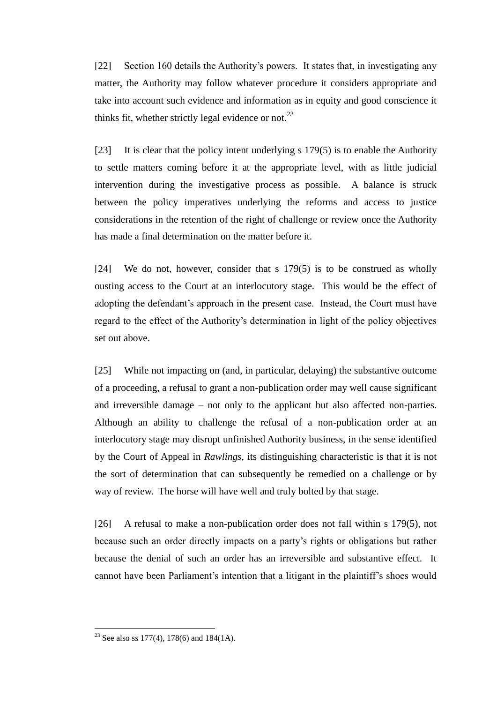[22] Section 160 details the Authority's powers. It states that, in investigating any matter, the Authority may follow whatever procedure it considers appropriate and take into account such evidence and information as in equity and good conscience it thinks fit, whether strictly legal evidence or not.<sup>23</sup>

[23] It is clear that the policy intent underlying s 179(5) is to enable the Authority to settle matters coming before it at the appropriate level, with as little judicial intervention during the investigative process as possible. A balance is struck between the policy imperatives underlying the reforms and access to justice considerations in the retention of the right of challenge or review once the Authority has made a final determination on the matter before it.

[24] We do not, however, consider that s 179(5) is to be construed as wholly ousting access to the Court at an interlocutory stage. This would be the effect of adopting the defendant's approach in the present case. Instead, the Court must have regard to the effect of the Authority's determination in light of the policy objectives set out above.

[25] While not impacting on (and, in particular, delaying) the substantive outcome of a proceeding, a refusal to grant a non-publication order may well cause significant and irreversible damage – not only to the applicant but also affected non-parties. Although an ability to challenge the refusal of a non-publication order at an interlocutory stage may disrupt unfinished Authority business, in the sense identified by the Court of Appeal in *Rawlings*, its distinguishing characteristic is that it is not the sort of determination that can subsequently be remedied on a challenge or by way of review. The horse will have well and truly bolted by that stage.

[26] A refusal to make a non-publication order does not fall within s 179(5), not because such an order directly impacts on a party's rights or obligations but rather because the denial of such an order has an irreversible and substantive effect. It cannot have been Parliament's intention that a litigant in the plaintiff's shoes would

<sup>&</sup>lt;sup>23</sup> See also ss 177(4), 178(6) and 184(1A).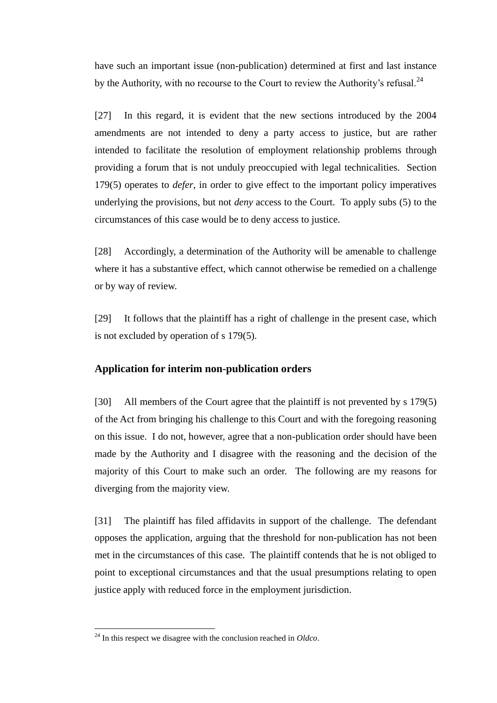have such an important issue (non-publication) determined at first and last instance by the Authority, with no recourse to the Court to review the Authority's refusal. $^{24}$ 

[27] In this regard, it is evident that the new sections introduced by the 2004 amendments are not intended to deny a party access to justice, but are rather intended to facilitate the resolution of employment relationship problems through providing a forum that is not unduly preoccupied with legal technicalities. Section 179(5) operates to *defer*, in order to give effect to the important policy imperatives underlying the provisions, but not *deny* access to the Court. To apply subs (5) to the circumstances of this case would be to deny access to justice.

[28] Accordingly, a determination of the Authority will be amenable to challenge where it has a substantive effect, which cannot otherwise be remedied on a challenge or by way of review.

[29] It follows that the plaintiff has a right of challenge in the present case, which is not excluded by operation of s 179(5).

### **Application for interim non-publication orders**

[30] All members of the Court agree that the plaintiff is not prevented by s 179(5) of the Act from bringing his challenge to this Court and with the foregoing reasoning on this issue. I do not, however, agree that a non-publication order should have been made by the Authority and I disagree with the reasoning and the decision of the majority of this Court to make such an order. The following are my reasons for diverging from the majority view.

[31] The plaintiff has filed affidavits in support of the challenge. The defendant opposes the application, arguing that the threshold for non-publication has not been met in the circumstances of this case. The plaintiff contends that he is not obliged to point to exceptional circumstances and that the usual presumptions relating to open justice apply with reduced force in the employment jurisdiction.

<sup>24</sup> In this respect we disagree with the conclusion reached in *Oldco*.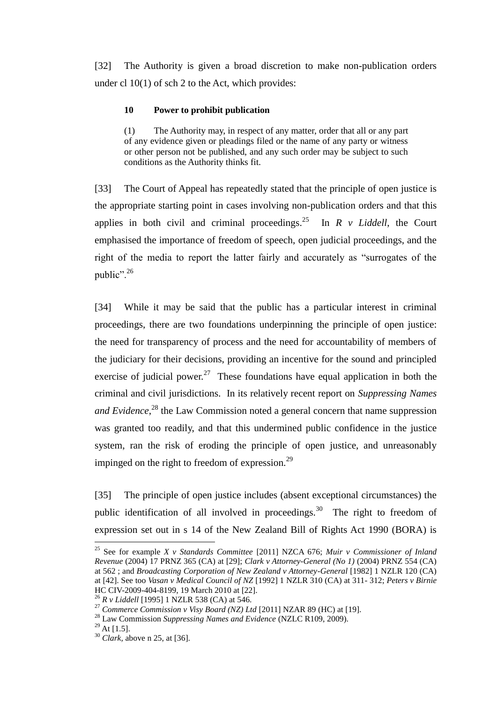[32] The Authority is given a broad discretion to make non-publication orders under cl 10(1) of sch 2 to the Act, which provides:

### **10 Power to prohibit publication**

(1) The Authority may, in respect of any matter, order that all or any part of any evidence given or pleadings filed or the name of any party or witness or other person not be published, and any such order may be subject to such conditions as the Authority thinks fit.

[33] The Court of Appeal has repeatedly stated that the principle of open justice is the appropriate starting point in cases involving non-publication orders and that this applies in both civil and criminal proceedings.<sup>25</sup> In  $R$  v *Liddell*, the Court emphasised the importance of freedom of speech, open judicial proceedings, and the right of the media to report the latter fairly and accurately as "surrogates of the public".<sup>26</sup>

[34] While it may be said that the public has a particular interest in criminal proceedings, there are two foundations underpinning the principle of open justice: the need for transparency of process and the need for accountability of members of the judiciary for their decisions, providing an incentive for the sound and principled exercise of judicial power.<sup>27</sup> These foundations have equal application in both the criminal and civil jurisdictions. In its relatively recent report on *Suppressing Names*  and Evidence,<sup>28</sup> the Law Commission noted a general concern that name suppression was granted too readily, and that this undermined public confidence in the justice system, ran the risk of eroding the principle of open justice, and unreasonably impinged on the right to freedom of expression. $^{29}$ 

[35] The principle of open justice includes (absent exceptional circumstances) the public identification of all involved in proceedings.<sup>30</sup> The right to freedom of expression set out in s 14 of the New Zealand Bill of Rights Act 1990 (BORA) is

<sup>25</sup> See for example *X v Standards Committee* [2011] NZCA 676; *Muir v Commissioner of Inland Revenue* (2004) 17 PRNZ 365 (CA) at [29]; *Clark v Attorney-General (No 1)* (2004) PRNZ 554 (CA) at 562 ; and *Broadcasting Corporation of New Zealand v Attorney-General* [1982] 1 NZLR 120 (CA) at [42]. See too *Vasan v Medical Council of NZ* [1992] 1 NZLR 310 (CA) at 311- 312; *Peters v Birnie* HC CIV-2009-404-8199, 19 March 2010 at [22].

<sup>26</sup> *R v Liddell* [1995] 1 NZLR 538 (CA) at 546.

<sup>27</sup> *Commerce Commission v Visy Board (NZ) Ltd* [2011] NZAR 89 (HC) at [19].

<sup>28</sup> Law Commission *Suppressing Names and Evidence* (NZLC R109, 2009).

 $^{29}$  At [1.5].

<sup>30</sup> *Clark,* above n 25, at [36].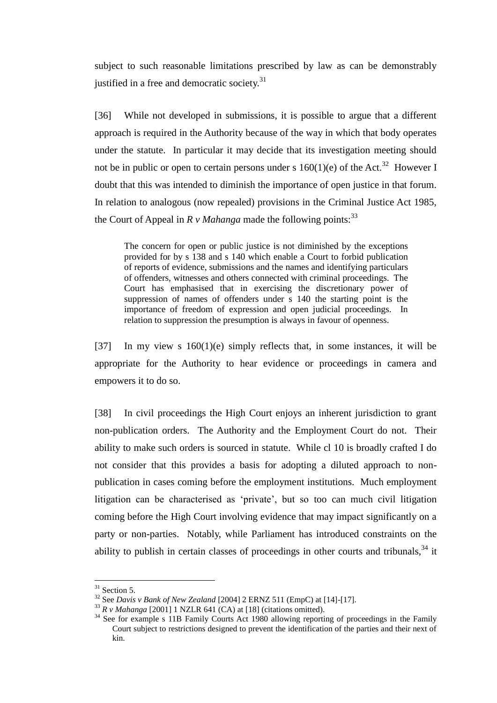subject to such reasonable limitations prescribed by law as can be demonstrably justified in a free and democratic society.<sup>31</sup>

[36] While not developed in submissions, it is possible to argue that a different approach is required in the Authority because of the way in which that body operates under the statute. In particular it may decide that its investigation meeting should not be in public or open to certain persons under s  $160(1)(e)$  of the Act.<sup>32</sup> However I doubt that this was intended to diminish the importance of open justice in that forum. In relation to analogous (now repealed) provisions in the Criminal Justice Act 1985, the Court of Appeal in  $\ddot{R}$  v *Mahanga* made the following points:<sup>33</sup>

The concern for open or public justice is not diminished by the exceptions provided for by s 138 and s 140 which enable a Court to forbid publication of reports of evidence, submissions and the names and identifying particulars of offenders, witnesses and others connected with criminal proceedings. The Court has emphasised that in exercising the discretionary power of suppression of names of offenders under s 140 the starting point is the importance of freedom of expression and open judicial proceedings. In relation to suppression the presumption is always in favour of openness.

[37] In my view s 160(1)(e) simply reflects that, in some instances, it will be appropriate for the Authority to hear evidence or proceedings in camera and empowers it to do so.

[38] In civil proceedings the High Court enjoys an inherent jurisdiction to grant non-publication orders. The Authority and the Employment Court do not. Their ability to make such orders is sourced in statute. While cl 10 is broadly crafted I do not consider that this provides a basis for adopting a diluted approach to nonpublication in cases coming before the employment institutions. Much employment litigation can be characterised as 'private', but so too can much civil litigation coming before the High Court involving evidence that may impact significantly on a party or non-parties. Notably, while Parliament has introduced constraints on the ability to publish in certain classes of proceedings in other courts and tribunals,  $34$  it

 $31$  Section 5.

<sup>32</sup> See *Davis v Bank of New Zealand* [2004] 2 ERNZ 511 (EmpC) at [14]-[17].

<sup>33</sup> *R v Mahanga* [2001] 1 NZLR 641 (CA) at [18] (citations omitted).

<sup>&</sup>lt;sup>34</sup> See for example s 11B Family Courts Act 1980 allowing reporting of proceedings in the Family Court subject to restrictions designed to prevent the identification of the parties and their next of kin.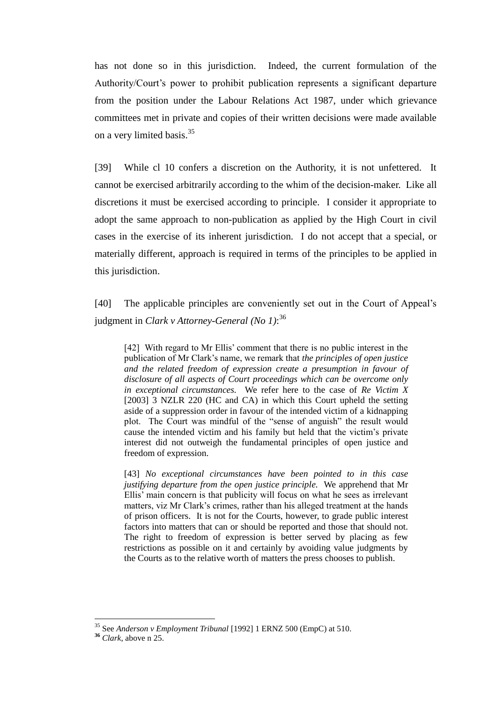has not done so in this jurisdiction. Indeed, the current formulation of the Authority/Court's power to prohibit publication represents a significant departure from the position under the Labour Relations Act 1987, under which grievance committees met in private and copies of their written decisions were made available on a very limited basis.<sup>35</sup>

[39] While cl 10 confers a discretion on the Authority, it is not unfettered. It cannot be exercised arbitrarily according to the whim of the decision-maker. Like all discretions it must be exercised according to principle. I consider it appropriate to adopt the same approach to non-publication as applied by the High Court in civil cases in the exercise of its inherent jurisdiction. I do not accept that a special, or materially different, approach is required in terms of the principles to be applied in this jurisdiction.

[40] The applicable principles are conveniently set out in the Court of Appeal's judgment in *Clark v Attorney-General (No 1)*: 36

[42] With regard to Mr Ellis' comment that there is no public interest in the publication of Mr Clark's name, we remark that *the principles of open justice and the related freedom of expression create a presumption in favour of disclosure of all aspects of Court proceedings which can be overcome only in exceptional circumstances.* We refer here to the case of *Re Victim X* [2003] 3 NZLR 220 (HC and CA) in which this Court upheld the setting aside of a suppression order in favour of the intended victim of a kidnapping plot. The Court was mindful of the "sense of anguish" the result would cause the intended victim and his family but held that the victim's private interest did not outweigh the fundamental principles of open justice and freedom of expression.

[43] *No exceptional circumstances have been pointed to in this case justifying departure from the open justice principle.* We apprehend that Mr Ellis' main concern is that publicity will focus on what he sees as irrelevant matters, viz Mr Clark's crimes, rather than his alleged treatment at the hands of prison officers. It is not for the Courts, however, to grade public interest factors into matters that can or should be reported and those that should not. The right to freedom of expression is better served by placing as few restrictions as possible on it and certainly by avoiding value judgments by the Courts as to the relative worth of matters the press chooses to publish.

<sup>35</sup> See *Anderson v Employment Tribunal* [1992] 1 ERNZ 500 (EmpC) at 510.

**<sup>36</sup>** *Clark*, above n 25.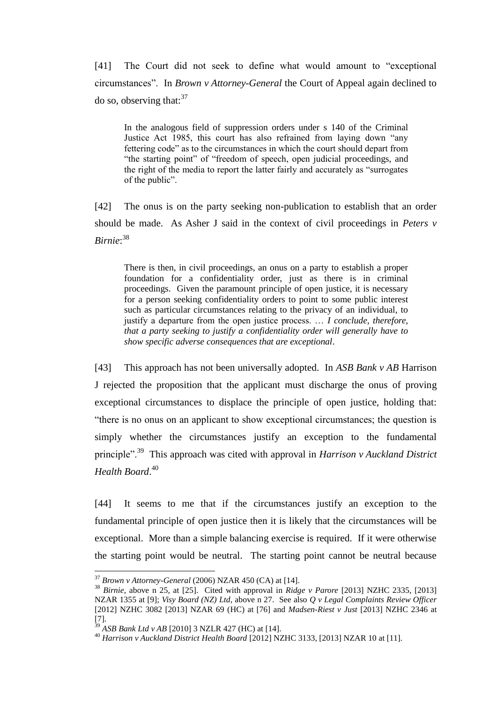[41] The Court did not seek to define what would amount to "exceptional circumstances". In *Brown v Attorney-General* the Court of Appeal again declined to do so, observing that:  $37$ 

In the analogous field of suppression orders under s 140 of the Criminal Justice Act 1985, this court has also refrained from laying down "any fettering code" as to the circumstances in which the court should depart from "the starting point" of "freedom of speech, open judicial proceedings, and the right of the media to report the latter fairly and accurately as "surrogates of the public".

[42] The onus is on the party seeking non-publication to establish that an order should be made. As Asher J said in the context of civil proceedings in *Peters v Birnie*: 38

There is then, in civil proceedings, an onus on a party to establish a proper foundation for a confidentiality order, just as there is in criminal proceedings. Given the paramount principle of open justice, it is necessary for a person seeking confidentiality orders to point to some public interest such as particular circumstances relating to the privacy of an individual, to justify a departure from the open justice process. … *I conclude, therefore, that a party seeking to justify a confidentiality order will generally have to show specific adverse consequences that are exceptional*.

[43] This approach has not been universally adopted. In *ASB Bank v AB* Harrison J rejected the proposition that the applicant must discharge the onus of proving exceptional circumstances to displace the principle of open justice, holding that: "there is no onus on an applicant to show exceptional circumstances; the question is simply whether the circumstances justify an exception to the fundamental principle".<sup>39</sup> This approach was cited with approval in *Harrison v Auckland District Health Board*. 40

[44] It seems to me that if the circumstances justify an exception to the fundamental principle of open justice then it is likely that the circumstances will be exceptional. More than a simple balancing exercise is required. If it were otherwise the starting point would be neutral. The starting point cannot be neutral because

<sup>37</sup> *Brown v Attorney-General* (2006) NZAR 450 (CA) at [14].

<sup>&</sup>lt;sup>38</sup> *Birnie*, above n<sup>25</sup>, at [25]. Cited with approval in *Ridge v Parore* [2013] NZHC 2335, [2013] NZAR 1355 at [9]; *Visy Board (NZ) Ltd*, above n 27. See also *Q v Legal Complaints Review Officer* [2012] NZHC 3082 [2013] NZAR 69 (HC) at [76] and *Madsen-Riest v Just* [2013] NZHC 2346 at  $\left[ 7 \right].$ 

<sup>39</sup> *ASB Bank Ltd v AB* [2010] 3 NZLR 427 (HC) at [14].

<sup>40</sup> *Harrison v Auckland District Health Board* [2012] NZHC 3133, [2013] NZAR 10 at [11].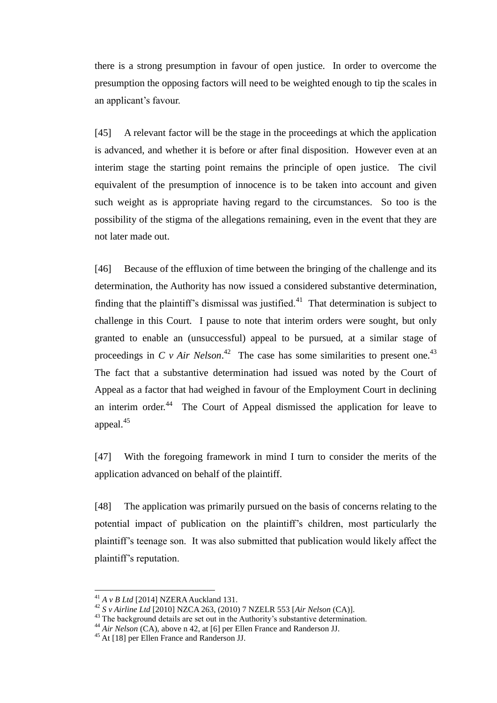there is a strong presumption in favour of open justice. In order to overcome the presumption the opposing factors will need to be weighted enough to tip the scales in an applicant's favour.

[45] A relevant factor will be the stage in the proceedings at which the application is advanced, and whether it is before or after final disposition. However even at an interim stage the starting point remains the principle of open justice. The civil equivalent of the presumption of innocence is to be taken into account and given such weight as is appropriate having regard to the circumstances. So too is the possibility of the stigma of the allegations remaining, even in the event that they are not later made out.

[46] Because of the effluxion of time between the bringing of the challenge and its determination, the Authority has now issued a considered substantive determination, finding that the plaintiff's dismissal was justified.<sup>41</sup> That determination is subject to challenge in this Court. I pause to note that interim orders were sought, but only granted to enable an (unsuccessful) appeal to be pursued, at a similar stage of proceedings in *C v Air Nelson*.<sup>42</sup> The case has some similarities to present one.<sup>43</sup> The fact that a substantive determination had issued was noted by the Court of Appeal as a factor that had weighed in favour of the Employment Court in declining an interim order. $44$  The Court of Appeal dismissed the application for leave to appeal.<sup>45</sup>

[47] With the foregoing framework in mind I turn to consider the merits of the application advanced on behalf of the plaintiff.

[48] The application was primarily pursued on the basis of concerns relating to the potential impact of publication on the plaintiff's children, most particularly the plaintiff's teenage son. It was also submitted that publication would likely affect the plaintiff's reputation.

<sup>41</sup> *A v B Ltd* [2014] NZERA Auckland 131.

<sup>42</sup> *S v Airline Ltd* [2010] NZCA 263, (2010) 7 NZELR 553 [*Air Nelson* (CA)].

<sup>&</sup>lt;sup>43</sup> The background details are set out in the Authority's substantive determination.

<sup>&</sup>lt;sup>44</sup> *Air Nelson* (CA), above n 42, at [6] per Ellen France and Randerson JJ.

<sup>45</sup> At [18] per Ellen France and Randerson JJ.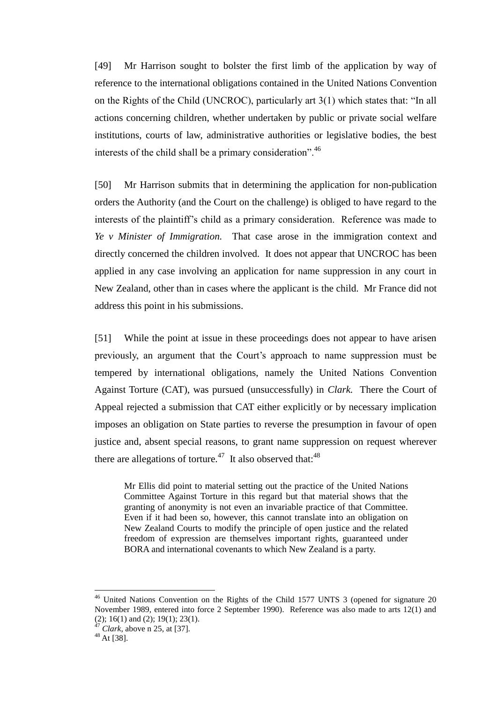[49] Mr Harrison sought to bolster the first limb of the application by way of reference to the international obligations contained in the United Nations Convention on the Rights of the Child (UNCROC), particularly art 3(1) which states that: "In all actions concerning children, whether undertaken by public or private social welfare institutions, courts of law, administrative authorities or legislative bodies, the best interests of the child shall be a primary consideration".<sup>46</sup>

[50] Mr Harrison submits that in determining the application for non-publication orders the Authority (and the Court on the challenge) is obliged to have regard to the interests of the plaintiff's child as a primary consideration. Reference was made to *Ye v Minister of Immigration.* That case arose in the immigration context and directly concerned the children involved. It does not appear that UNCROC has been applied in any case involving an application for name suppression in any court in New Zealand, other than in cases where the applicant is the child. Mr France did not address this point in his submissions.

[51] While the point at issue in these proceedings does not appear to have arisen previously, an argument that the Court's approach to name suppression must be tempered by international obligations, namely the United Nations Convention Against Torture (CAT), was pursued (unsuccessfully) in *Clark.* There the Court of Appeal rejected a submission that CAT either explicitly or by necessary implication imposes an obligation on State parties to reverse the presumption in favour of open justice and, absent special reasons, to grant name suppression on request wherever there are allegations of torture.<sup>47</sup> It also observed that:<sup>48</sup>

Mr Ellis did point to material setting out the practice of the United Nations Committee Against Torture in this regard but that material shows that the granting of anonymity is not even an invariable practice of that Committee. Even if it had been so, however, this cannot translate into an obligation on New Zealand Courts to modify the principle of open justice and the related freedom of expression are themselves important rights, guaranteed under BORA and international covenants to which New Zealand is a party.

<sup>&</sup>lt;sup>46</sup> United Nations Convention on the Rights of the Child 1577 UNTS 3 (opened for signature 20 November 1989, entered into force 2 September 1990). Reference was also made to arts 12(1) and (2); 16(1) and (2); 19(1); 23(1).

*Clark*, above n 25, at [37].

 $48$  At [38].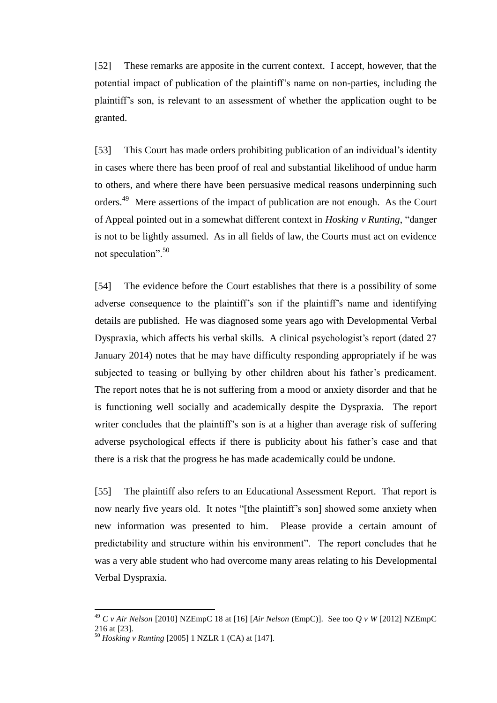[52] These remarks are apposite in the current context. I accept, however, that the potential impact of publication of the plaintiff's name on non-parties, including the plaintiff's son, is relevant to an assessment of whether the application ought to be granted.

[53] This Court has made orders prohibiting publication of an individual's identity in cases where there has been proof of real and substantial likelihood of undue harm to others, and where there have been persuasive medical reasons underpinning such orders.<sup>49</sup> Mere assertions of the impact of publication are not enough. As the Court of Appeal pointed out in a somewhat different context in *Hosking v Runting*, "danger is not to be lightly assumed. As in all fields of law, the Courts must act on evidence not speculation".<sup>50</sup>

[54] The evidence before the Court establishes that there is a possibility of some adverse consequence to the plaintiff's son if the plaintiff's name and identifying details are published. He was diagnosed some years ago with Developmental Verbal Dyspraxia, which affects his verbal skills. A clinical psychologist's report (dated 27 January 2014) notes that he may have difficulty responding appropriately if he was subjected to teasing or bullying by other children about his father's predicament. The report notes that he is not suffering from a mood or anxiety disorder and that he is functioning well socially and academically despite the Dyspraxia. The report writer concludes that the plaintiff's son is at a higher than average risk of suffering adverse psychological effects if there is publicity about his father's case and that there is a risk that the progress he has made academically could be undone.

[55] The plaintiff also refers to an Educational Assessment Report. That report is now nearly five years old. It notes "[the plaintiff's son] showed some anxiety when new information was presented to him. Please provide a certain amount of predictability and structure within his environment". The report concludes that he was a very able student who had overcome many areas relating to his Developmental Verbal Dyspraxia.

<sup>49</sup> *C v Air Nelson* [2010] NZEmpC 18 at [16] [*Air Nelson* (EmpC)]. See too *Q v W* [2012] NZEmpC 216 at [23].

<sup>50</sup> *Hosking v Runting* [2005] 1 NZLR 1 (CA) at [147].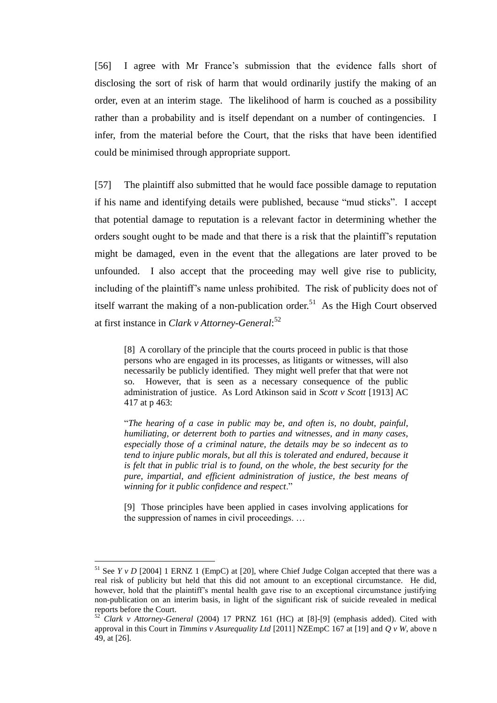[56] I agree with Mr France's submission that the evidence falls short of disclosing the sort of risk of harm that would ordinarily justify the making of an order, even at an interim stage. The likelihood of harm is couched as a possibility rather than a probability and is itself dependant on a number of contingencies. I infer, from the material before the Court, that the risks that have been identified could be minimised through appropriate support.

[57] The plaintiff also submitted that he would face possible damage to reputation if his name and identifying details were published, because "mud sticks". I accept that potential damage to reputation is a relevant factor in determining whether the orders sought ought to be made and that there is a risk that the plaintiff's reputation might be damaged, even in the event that the allegations are later proved to be unfounded. I also accept that the proceeding may well give rise to publicity, including of the plaintiff's name unless prohibited. The risk of publicity does not of itself warrant the making of a non-publication order.<sup>51</sup> As the High Court observed at first instance in *Clark v Attorney-General*: 52

[8] A corollary of the principle that the courts proceed in public is that those persons who are engaged in its processes, as litigants or witnesses, will also necessarily be publicly identified. They might well prefer that that were not so. However, that is seen as a necessary consequence of the public administration of justice. As Lord Atkinson said in *Scott v Scott* [1913] AC 417 at p 463:

"*The hearing of a case in public may be, and often is, no doubt, painful, humiliating, or deterrent both to parties and witnesses, and in many cases, especially those of a criminal nature, the details may be so indecent as to tend to injure public morals, but all this is tolerated and endured, because it is felt that in public trial is to found, on the whole, the best security for the pure, impartial, and efficient administration of justice, the best means of winning for it public confidence and respect*."

[9] Those principles have been applied in cases involving applications for the suppression of names in civil proceedings. …

<sup>&</sup>lt;sup>51</sup> See *Y v D* [2004] 1 ERNZ 1 (EmpC) at [20], where Chief Judge Colgan accepted that there was a real risk of publicity but held that this did not amount to an exceptional circumstance. He did, however, hold that the plaintiff's mental health gave rise to an exceptional circumstance justifying non-publication on an interim basis, in light of the significant risk of suicide revealed in medical reports before the Court.

<sup>52</sup> *Clark v Attorney-General* (2004) 17 PRNZ 161 (HC) at [8]-[9] (emphasis added). Cited with approval in this Court in *Timmins v Asurequality Ltd* [2011] NZEmpC 167 at [19] and *Q v W*, above n 49, at [26].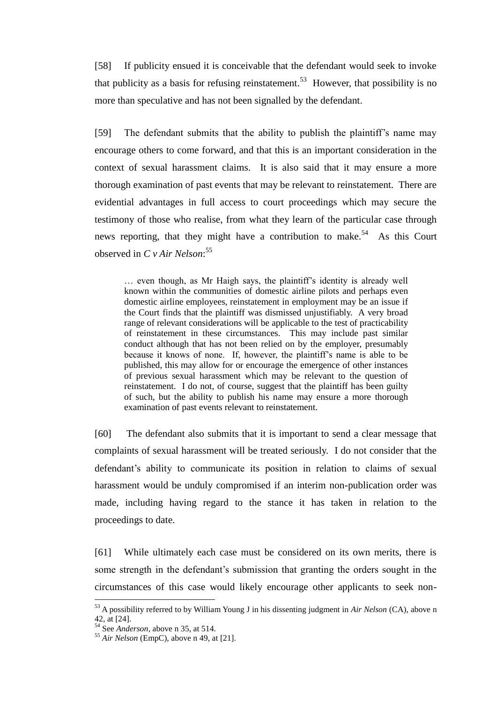[58] If publicity ensued it is conceivable that the defendant would seek to invoke that publicity as a basis for refusing reinstatement.<sup>53</sup> However, that possibility is no more than speculative and has not been signalled by the defendant.

[59] The defendant submits that the ability to publish the plaintiff's name may encourage others to come forward, and that this is an important consideration in the context of sexual harassment claims. It is also said that it may ensure a more thorough examination of past events that may be relevant to reinstatement. There are evidential advantages in full access to court proceedings which may secure the testimony of those who realise, from what they learn of the particular case through news reporting, that they might have a contribution to make.<sup>54</sup> As this Court observed in *C v Air Nelson*: 55

… even though, as Mr Haigh says, the plaintiff's identity is already well known within the communities of domestic airline pilots and perhaps even domestic airline employees, reinstatement in employment may be an issue if the Court finds that the plaintiff was dismissed unjustifiably. A very broad range of relevant considerations will be applicable to the test of practicability of reinstatement in these circumstances. This may include past similar conduct although that has not been relied on by the employer, presumably because it knows of none. If, however, the plaintiff's name is able to be published, this may allow for or encourage the emergence of other instances of previous sexual harassment which may be relevant to the question of reinstatement. I do not, of course, suggest that the plaintiff has been guilty of such, but the ability to publish his name may ensure a more thorough examination of past events relevant to reinstatement.

[60] The defendant also submits that it is important to send a clear message that complaints of sexual harassment will be treated seriously. I do not consider that the defendant's ability to communicate its position in relation to claims of sexual harassment would be unduly compromised if an interim non-publication order was made, including having regard to the stance it has taken in relation to the proceedings to date.

[61] While ultimately each case must be considered on its own merits, there is some strength in the defendant's submission that granting the orders sought in the circumstances of this case would likely encourage other applicants to seek non-

<sup>53</sup> A possibility referred to by William Young J in his dissenting judgment in *Air Nelson* (CA), above n 42, at [24].

<sup>54</sup> See *Anderson*, above n 35, at 514.

<sup>55</sup> *Air Nelson* (EmpC), above n 49, at [21].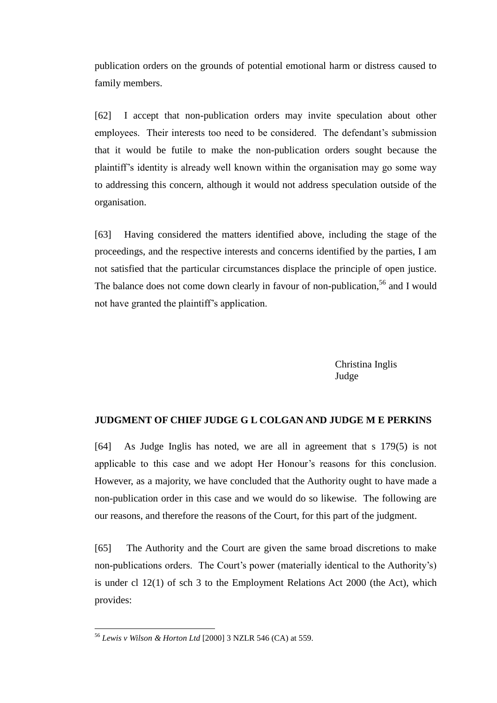publication orders on the grounds of potential emotional harm or distress caused to family members.

[62] I accept that non-publication orders may invite speculation about other employees. Their interests too need to be considered. The defendant's submission that it would be futile to make the non-publication orders sought because the plaintiff's identity is already well known within the organisation may go some way to addressing this concern, although it would not address speculation outside of the organisation.

[63] Having considered the matters identified above, including the stage of the proceedings, and the respective interests and concerns identified by the parties, I am not satisfied that the particular circumstances displace the principle of open justice. The balance does not come down clearly in favour of non-publication.<sup>56</sup> and I would not have granted the plaintiff's application.

> Christina Inglis Judge

### **JUDGMENT OF CHIEF JUDGE G L COLGAN AND JUDGE M E PERKINS**

[64] As Judge Inglis has noted, we are all in agreement that s 179(5) is not applicable to this case and we adopt Her Honour's reasons for this conclusion. However, as a majority, we have concluded that the Authority ought to have made a non-publication order in this case and we would do so likewise. The following are our reasons, and therefore the reasons of the Court, for this part of the judgment.

[65] The Authority and the Court are given the same broad discretions to make non-publications orders. The Court's power (materially identical to the Authority's) is under cl 12(1) of sch 3 to the Employment Relations Act 2000 (the Act), which provides:

<sup>56</sup> *Lewis v Wilson & Horton Ltd* [2000] 3 NZLR 546 (CA) at 559.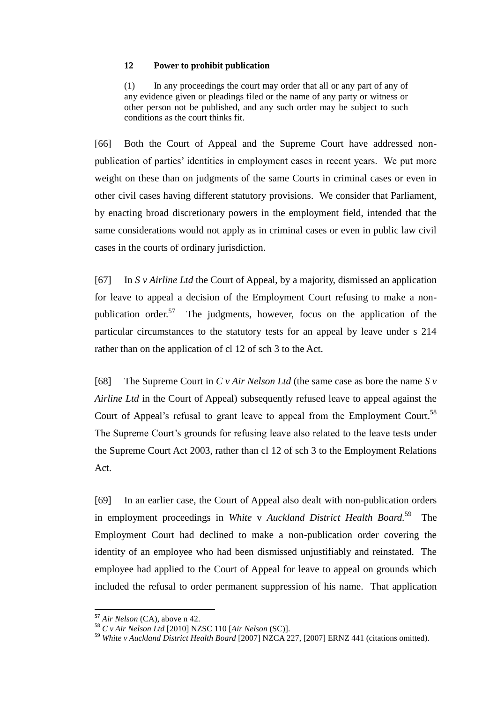### **12 Power to prohibit publication**

(1) In any proceedings the court may order that all or any part of any of any evidence given or pleadings filed or the name of any party or witness or other person not be published, and any such order may be subject to such conditions as the court thinks fit.

[66] Both the Court of Appeal and the Supreme Court have addressed nonpublication of parties' identities in employment cases in recent years. We put more weight on these than on judgments of the same Courts in criminal cases or even in other civil cases having different statutory provisions. We consider that Parliament, by enacting broad discretionary powers in the employment field, intended that the same considerations would not apply as in criminal cases or even in public law civil cases in the courts of ordinary jurisdiction.

[67] In *S v Airline Ltd* the Court of Appeal, by a majority, dismissed an application for leave to appeal a decision of the Employment Court refusing to make a nonpublication order.<sup>57</sup> The judgments, however, focus on the application of the particular circumstances to the statutory tests for an appeal by leave under s 214 rather than on the application of cl 12 of sch 3 to the Act.

[68] The Supreme Court in *C v Air Nelson Ltd* (the same case as bore the name *S v Airline Ltd* in the Court of Appeal) subsequently refused leave to appeal against the Court of Appeal's refusal to grant leave to appeal from the Employment Court.<sup>58</sup> The Supreme Court's grounds for refusing leave also related to the leave tests under the Supreme Court Act 2003, rather than cl 12 of sch 3 to the Employment Relations Act.

[69] In an earlier case, the Court of Appeal also dealt with non-publication orders in employment proceedings in *White* v *Auckland District Health Board.* 59 The Employment Court had declined to make a non-publication order covering the identity of an employee who had been dismissed unjustifiably and reinstated. The employee had applied to the Court of Appeal for leave to appeal on grounds which included the refusal to order permanent suppression of his name. That application

**<sup>57</sup>** *Air Nelson* (CA), above n 42.

<sup>58</sup> *C v Air Nelson Ltd* [2010] NZSC 110 [*Air Nelson* (SC)].

<sup>59</sup> *White v Auckland District Health Board* [2007] NZCA 227, [2007] ERNZ 441 (citations omitted).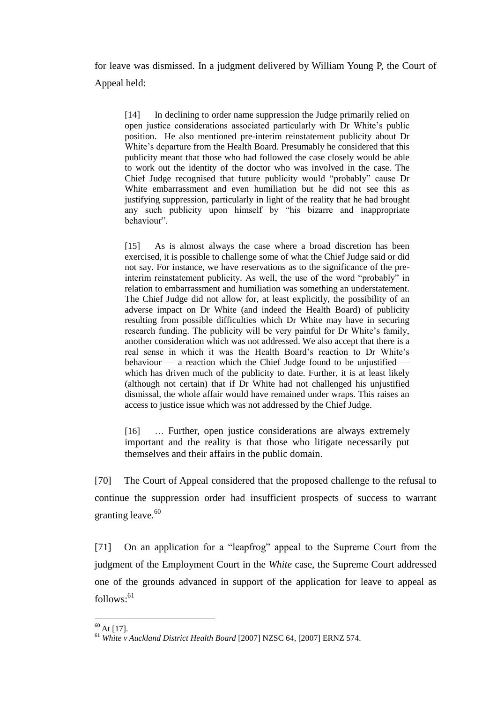for leave was dismissed. In a judgment delivered by William Young P, the Court of Appeal held:

[14] In declining to order name suppression the Judge primarily relied on open justice considerations associated particularly with Dr White's public position. He also mentioned pre-interim reinstatement publicity about Dr White's departure from the Health Board. Presumably he considered that this publicity meant that those who had followed the case closely would be able to work out the identity of the doctor who was involved in the case. The Chief Judge recognised that future publicity would "probably" cause Dr White embarrassment and even humiliation but he did not see this as justifying suppression, particularly in light of the reality that he had brought any such publicity upon himself by "his bizarre and inappropriate behaviour".

[15] As is almost always the case where a broad discretion has been exercised, it is possible to challenge some of what the Chief Judge said or did not say. For instance, we have reservations as to the significance of the preinterim reinstatement publicity. As well, the use of the word "probably" in relation to embarrassment and humiliation was something an understatement. The Chief Judge did not allow for, at least explicitly, the possibility of an adverse impact on Dr White (and indeed the Health Board) of publicity resulting from possible difficulties which Dr White may have in securing research funding. The publicity will be very painful for Dr White's family, another consideration which was not addressed. We also accept that there is a real sense in which it was the Health Board's reaction to Dr White's behaviour  $-$  a reaction which the Chief Judge found to be unjustified  $\overline{\phantom{a}}$ which has driven much of the publicity to date. Further, it is at least likely (although not certain) that if Dr White had not challenged his unjustified dismissal, the whole affair would have remained under wraps. This raises an access to justice issue which was not addressed by the Chief Judge.

[16] … Further, open justice considerations are always extremely important and the reality is that those who litigate necessarily put themselves and their affairs in the public domain.

[70] The Court of Appeal considered that the proposed challenge to the refusal to continue the suppression order had insufficient prospects of success to warrant granting leave. $60$ 

[71] On an application for a "leapfrog" appeal to the Supreme Court from the judgment of the Employment Court in the *White* case, the Supreme Court addressed one of the grounds advanced in support of the application for leave to appeal as  $follows: <sup>61</sup>$ 

 $\overline{a}$  $60$  At [17].

<sup>61</sup> *White v Auckland District Health Board* [2007] NZSC 64, [2007] ERNZ 574.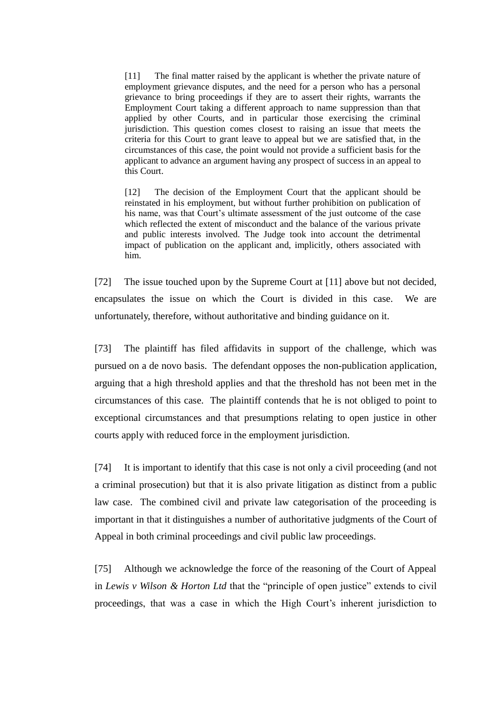[11] The final matter raised by the applicant is whether the private nature of employment grievance disputes, and the need for a person who has a personal grievance to bring proceedings if they are to assert their rights, warrants the Employment Court taking a different approach to name suppression than that applied by other Courts, and in particular those exercising the criminal jurisdiction. This question comes closest to raising an issue that meets the criteria for this Court to grant leave to appeal but we are satisfied that, in the circumstances of this case, the point would not provide a sufficient basis for the applicant to advance an argument having any prospect of success in an appeal to this Court.

[12] The decision of the Employment Court that the applicant should be reinstated in his employment, but without further prohibition on publication of his name, was that Court's ultimate assessment of the just outcome of the case which reflected the extent of misconduct and the balance of the various private and public interests involved. The Judge took into account the detrimental impact of publication on the applicant and, implicitly, others associated with him.

[72] The issue touched upon by the Supreme Court at [11] above but not decided, encapsulates the issue on which the Court is divided in this case. We are unfortunately, therefore, without authoritative and binding guidance on it.

[73] The plaintiff has filed affidavits in support of the challenge, which was pursued on a de novo basis. The defendant opposes the non-publication application, arguing that a high threshold applies and that the threshold has not been met in the circumstances of this case. The plaintiff contends that he is not obliged to point to exceptional circumstances and that presumptions relating to open justice in other courts apply with reduced force in the employment jurisdiction.

[74] It is important to identify that this case is not only a civil proceeding (and not a criminal prosecution) but that it is also private litigation as distinct from a public law case. The combined civil and private law categorisation of the proceeding is important in that it distinguishes a number of authoritative judgments of the Court of Appeal in both criminal proceedings and civil public law proceedings.

[75] Although we acknowledge the force of the reasoning of the Court of Appeal in *Lewis v Wilson & Horton Ltd* that the "principle of open justice" extends to civil proceedings, that was a case in which the High Court's inherent jurisdiction to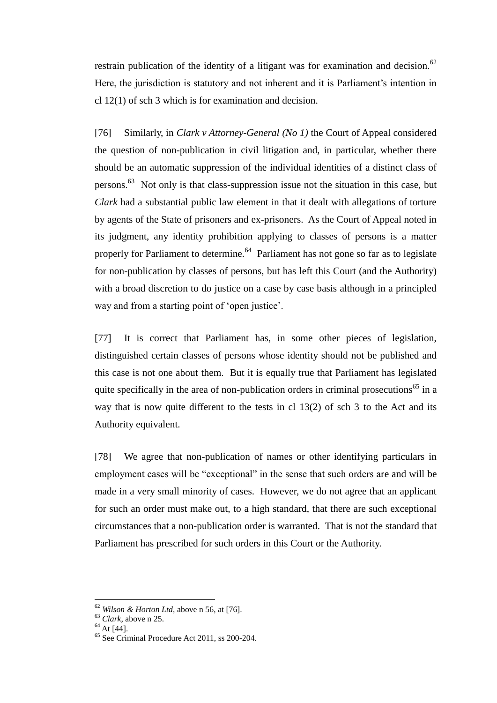restrain publication of the identity of a litigant was for examination and decision.<sup>62</sup> Here, the jurisdiction is statutory and not inherent and it is Parliament's intention in cl 12(1) of sch 3 which is for examination and decision.

[76] Similarly, in *Clark v Attorney-General (No 1)* the Court of Appeal considered the question of non-publication in civil litigation and, in particular, whether there should be an automatic suppression of the individual identities of a distinct class of persons.<sup>63</sup> Not only is that class-suppression issue not the situation in this case, but *Clark* had a substantial public law element in that it dealt with allegations of torture by agents of the State of prisoners and ex-prisoners. As the Court of Appeal noted in its judgment, any identity prohibition applying to classes of persons is a matter properly for Parliament to determine.<sup>64</sup> Parliament has not gone so far as to legislate for non-publication by classes of persons, but has left this Court (and the Authority) with a broad discretion to do justice on a case by case basis although in a principled way and from a starting point of 'open justice'.

[77] It is correct that Parliament has, in some other pieces of legislation, distinguished certain classes of persons whose identity should not be published and this case is not one about them. But it is equally true that Parliament has legislated quite specifically in the area of non-publication orders in criminal prosecutions<sup>65</sup> in a way that is now quite different to the tests in cl 13(2) of sch 3 to the Act and its Authority equivalent.

[78] We agree that non-publication of names or other identifying particulars in employment cases will be "exceptional" in the sense that such orders are and will be made in a very small minority of cases. However, we do not agree that an applicant for such an order must make out, to a high standard, that there are such exceptional circumstances that a non-publication order is warranted. That is not the standard that Parliament has prescribed for such orders in this Court or the Authority.

<sup>62</sup> *Wilson & Horton Ltd,* above n 56, at [76].

<sup>63</sup> *Clark*, above n 25.

 $64$  At [44].

<sup>65</sup> See Criminal Procedure Act 2011, ss 200-204.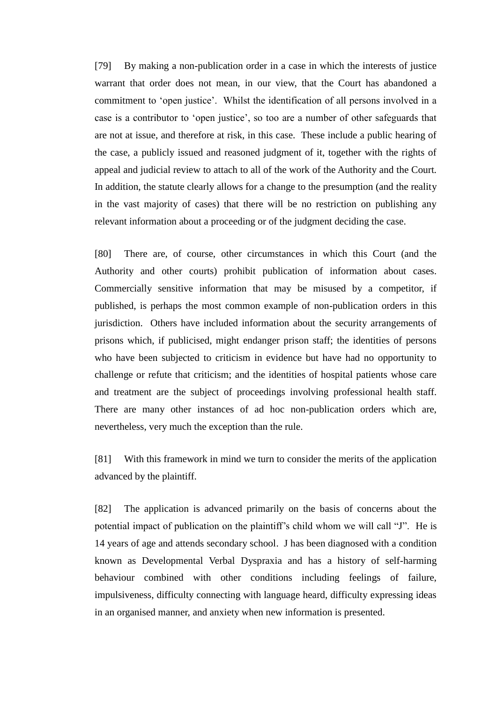[79] By making a non-publication order in a case in which the interests of justice warrant that order does not mean, in our view, that the Court has abandoned a commitment to 'open justice'. Whilst the identification of all persons involved in a case is a contributor to 'open justice', so too are a number of other safeguards that are not at issue, and therefore at risk, in this case. These include a public hearing of the case, a publicly issued and reasoned judgment of it, together with the rights of appeal and judicial review to attach to all of the work of the Authority and the Court. In addition, the statute clearly allows for a change to the presumption (and the reality in the vast majority of cases) that there will be no restriction on publishing any relevant information about a proceeding or of the judgment deciding the case.

[80] There are, of course, other circumstances in which this Court (and the Authority and other courts) prohibit publication of information about cases. Commercially sensitive information that may be misused by a competitor, if published, is perhaps the most common example of non-publication orders in this jurisdiction. Others have included information about the security arrangements of prisons which, if publicised, might endanger prison staff; the identities of persons who have been subjected to criticism in evidence but have had no opportunity to challenge or refute that criticism; and the identities of hospital patients whose care and treatment are the subject of proceedings involving professional health staff. There are many other instances of ad hoc non-publication orders which are, nevertheless, very much the exception than the rule.

[81] With this framework in mind we turn to consider the merits of the application advanced by the plaintiff.

[82] The application is advanced primarily on the basis of concerns about the potential impact of publication on the plaintiff's child whom we will call "J". He is 14 years of age and attends secondary school. J has been diagnosed with a condition known as Developmental Verbal Dyspraxia and has a history of self-harming behaviour combined with other conditions including feelings of failure, impulsiveness, difficulty connecting with language heard, difficulty expressing ideas in an organised manner, and anxiety when new information is presented.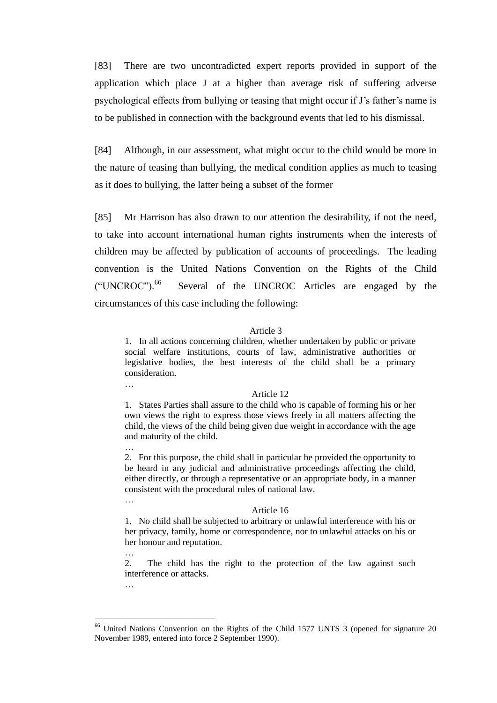[83] There are two uncontradicted expert reports provided in support of the application which place J at a higher than average risk of suffering adverse psychological effects from bullying or teasing that might occur if J's father's name is to be published in connection with the background events that led to his dismissal.

[84] Although, in our assessment, what might occur to the child would be more in the nature of teasing than bullying, the medical condition applies as much to teasing as it does to bullying, the latter being a subset of the former

[85] Mr Harrison has also drawn to our attention the desirability, if not the need, to take into account international human rights instruments when the interests of children may be affected by publication of accounts of proceedings. The leading convention is the United Nations Convention on the Rights of the Child ("UNCROC").<sup>66</sup> Several of the UNCROC Articles are engaged by the circumstances of this case including the following:

#### Article 3

1. In all actions concerning children, whether undertaken by public or private social welfare institutions, courts of law, administrative authorities or legislative bodies, the best interests of the child shall be a primary consideration.

#### Article 12

1. States Parties shall assure to the child who is capable of forming his or her own views the right to express those views freely in all matters affecting the child, the views of the child being given due weight in accordance with the age and maturity of the child.

2. For this purpose, the child shall in particular be provided the opportunity to be heard in any judicial and administrative proceedings affecting the child, either directly, or through a representative or an appropriate body, in a manner consistent with the procedural rules of national law.

#### Article 16

1. No child shall be subjected to arbitrary or unlawful interference with his or her privacy, family, home or correspondence, nor to unlawful attacks on his or her honour and reputation.

2. The child has the right to the protection of the law against such interference or attacks.

…

 $\overline{a}$ 

…

…

…

…

United Nations Convention on the Rights of the Child 1577 UNTS 3 (opened for signature 20 November 1989, entered into force 2 September 1990).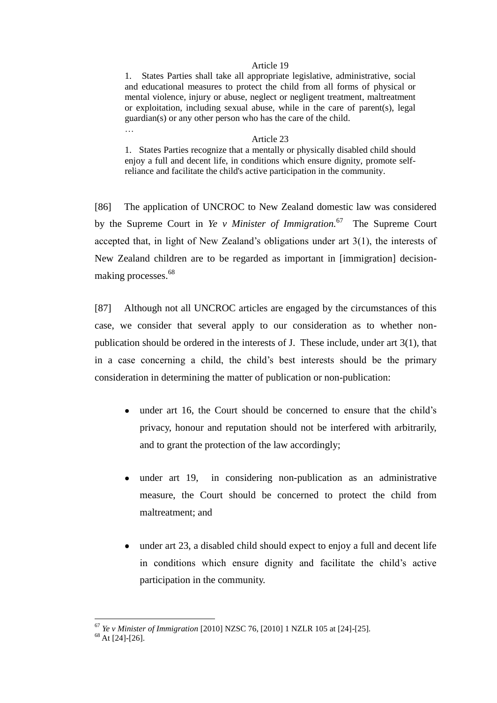#### Article 19

1. States Parties shall take all appropriate legislative, administrative, social and educational measures to protect the child from all forms of physical or mental violence, injury or abuse, neglect or negligent treatment, maltreatment or exploitation, including sexual abuse, while in the care of parent(s), legal guardian(s) or any other person who has the care of the child.

#### Article 23

1. States Parties recognize that a mentally or physically disabled child should enjoy a full and decent life, in conditions which ensure dignity, promote selfreliance and facilitate the child's active participation in the community.

[86] The application of UNCROC to New Zealand domestic law was considered by the Supreme Court in *Ye v Minister of Immigration.*<sup>67</sup> The Supreme Court accepted that, in light of New Zealand's obligations under art 3(1), the interests of New Zealand children are to be regarded as important in [immigration] decisionmaking processes.<sup>68</sup>

[87] Although not all UNCROC articles are engaged by the circumstances of this case, we consider that several apply to our consideration as to whether nonpublication should be ordered in the interests of J. These include, under art 3(1), that in a case concerning a child, the child's best interests should be the primary consideration in determining the matter of publication or non-publication:

- under art 16, the Court should be concerned to ensure that the child's privacy, honour and reputation should not be interfered with arbitrarily, and to grant the protection of the law accordingly;
- under art 19, in considering non-publication as an administrative measure, the Court should be concerned to protect the child from maltreatment; and
- under art 23, a disabled child should expect to enjoy a full and decent life in conditions which ensure dignity and facilitate the child's active participation in the community.

 $\overline{a}$ 

…

<sup>67</sup> *Ye v Minister of Immigration* [2010] NZSC 76, [2010] 1 NZLR 105 at [24]-[25].

 $68$  At [24]-[26].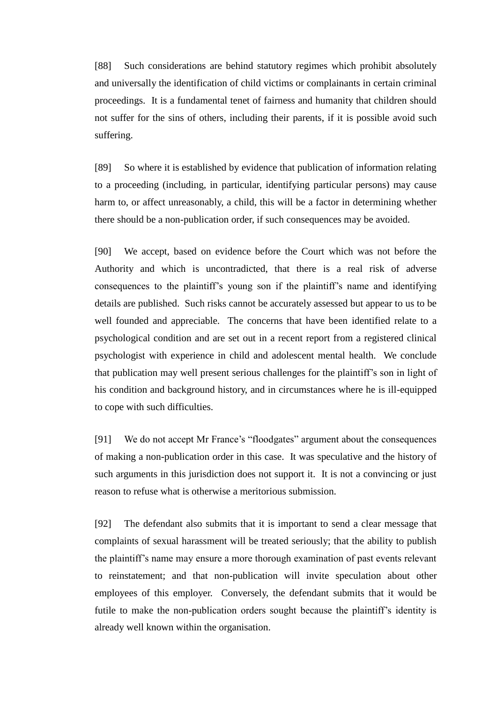[88] Such considerations are behind statutory regimes which prohibit absolutely and universally the identification of child victims or complainants in certain criminal proceedings. It is a fundamental tenet of fairness and humanity that children should not suffer for the sins of others, including their parents, if it is possible avoid such suffering.

[89] So where it is established by evidence that publication of information relating to a proceeding (including, in particular, identifying particular persons) may cause harm to, or affect unreasonably, a child, this will be a factor in determining whether there should be a non-publication order, if such consequences may be avoided.

[90] We accept, based on evidence before the Court which was not before the Authority and which is uncontradicted, that there is a real risk of adverse consequences to the plaintiff's young son if the plaintiff's name and identifying details are published. Such risks cannot be accurately assessed but appear to us to be well founded and appreciable. The concerns that have been identified relate to a psychological condition and are set out in a recent report from a registered clinical psychologist with experience in child and adolescent mental health. We conclude that publication may well present serious challenges for the plaintiff's son in light of his condition and background history, and in circumstances where he is ill-equipped to cope with such difficulties.

[91] We do not accept Mr France's "floodgates" argument about the consequences of making a non-publication order in this case. It was speculative and the history of such arguments in this jurisdiction does not support it. It is not a convincing or just reason to refuse what is otherwise a meritorious submission.

[92] The defendant also submits that it is important to send a clear message that complaints of sexual harassment will be treated seriously; that the ability to publish the plaintiff's name may ensure a more thorough examination of past events relevant to reinstatement; and that non-publication will invite speculation about other employees of this employer. Conversely, the defendant submits that it would be futile to make the non-publication orders sought because the plaintiff's identity is already well known within the organisation.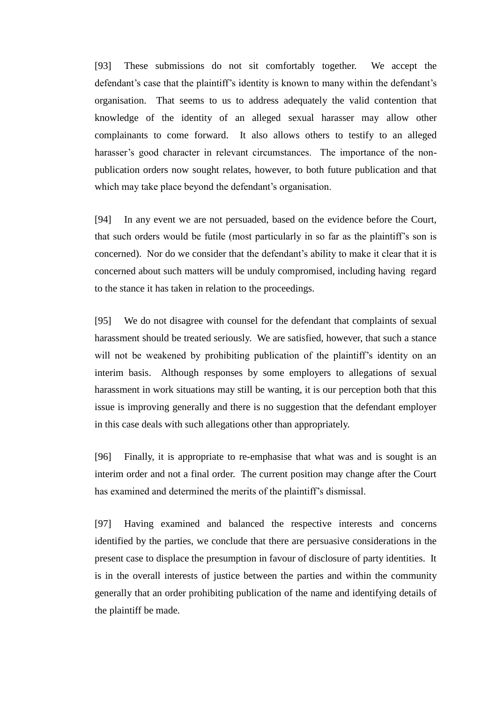[93] These submissions do not sit comfortably together. We accept the defendant's case that the plaintiff's identity is known to many within the defendant's organisation. That seems to us to address adequately the valid contention that knowledge of the identity of an alleged sexual harasser may allow other complainants to come forward. It also allows others to testify to an alleged harasser's good character in relevant circumstances. The importance of the nonpublication orders now sought relates, however, to both future publication and that which may take place beyond the defendant's organisation.

[94] In any event we are not persuaded, based on the evidence before the Court, that such orders would be futile (most particularly in so far as the plaintiff's son is concerned). Nor do we consider that the defendant's ability to make it clear that it is concerned about such matters will be unduly compromised, including having regard to the stance it has taken in relation to the proceedings.

[95] We do not disagree with counsel for the defendant that complaints of sexual harassment should be treated seriously. We are satisfied, however, that such a stance will not be weakened by prohibiting publication of the plaintiff's identity on an interim basis. Although responses by some employers to allegations of sexual harassment in work situations may still be wanting, it is our perception both that this issue is improving generally and there is no suggestion that the defendant employer in this case deals with such allegations other than appropriately.

[96] Finally, it is appropriate to re-emphasise that what was and is sought is an interim order and not a final order. The current position may change after the Court has examined and determined the merits of the plaintiff's dismissal.

[97] Having examined and balanced the respective interests and concerns identified by the parties, we conclude that there are persuasive considerations in the present case to displace the presumption in favour of disclosure of party identities. It is in the overall interests of justice between the parties and within the community generally that an order prohibiting publication of the name and identifying details of the plaintiff be made.